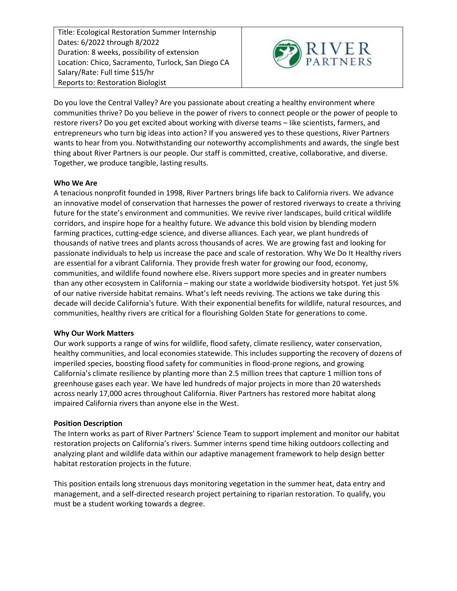Title: Ecological Restoration Summer Internship Dates: 6/2022 through 8/2022 Duration: 8 weeks, possibility of extension Location: Chico, Sacramento, Turlock, San Diego CA Salary/Rate: Full time \$15/hr Reports to: Restoration Biologist



Do you love the Central Valley? Are you passionate about creating a healthy environment where communities thrive? Do you believe in the power of rivers to connect people or the power of people to restore rivers? Do you get excited about working with diverse teams – like scientists, farmers, and entrepreneurs who turn big ideas into action? If you answered yes to these questions, River Partners wants to hear from you. Notwithstanding our noteworthy accomplishments and awards, the single best thing about River Partners is our people. Our staff is committed, creative, collaborative, and diverse. Together, we produce tangible, lasting results.

## **Who We Are**

A tenacious nonprofit founded in 1998, River Partners brings life back to California rivers. We advance an innovative model of conservation that harnesses the power of restored riverways to create a thriving future for the state's environment and communities. We revive river landscapes, build critical wildlife corridors, and inspire hope for a healthy future. We advance this bold vision by blending modern farming practices, cutting-edge science, and diverse alliances. Each year, we plant hundreds of thousands of native trees and plants across thousands of acres. We are growing fast and looking for passionate individuals to help us increase the pace and scale of restoration. Why We Do It Healthy rivers are essential for a vibrant California. They provide fresh water for growing our food, economy, communities, and wildlife found nowhere else. Rivers support more species and in greater numbers than any other ecosystem in California – making our state a worldwide biodiversity hotspot. Yet just 5% of our native riverside habitat remains. What's left needs reviving. The actions we take during this decade will decide California's future. With their exponential benefits for wildlife, natural resources, and communities, healthy rivers are critical for a flourishing Golden State for generations to come.

## **Why Our Work Matters**

Our work supports a range of wins for wildlife, flood safety, climate resiliency, water conservation, healthy communities, and local economies statewide. This includes supporting the recovery of dozens of imperiled species, boosting flood safety for communities in flood-prone regions, and growing California's climate resilience by planting more than 2.5 million trees that capture 1 million tons of greenhouse gases each year. We have led hundreds of major projects in more than 20 watersheds across nearly 17,000 acres throughout California. River Partners has restored more habitat along impaired California rivers than anyone else in the West.

## **Position Description**

The Intern works as part of River Partners' Science Team to support implement and monitor our habitat restoration projects on California's rivers. Summer interns spend time hiking outdoors collecting and analyzing plant and wildlife data within our adaptive management framework to help design better habitat restoration projects in the future.

This position entails long strenuous days monitoring vegetation in the summer heat, data entry and management, and a self-directed research project pertaining to riparian restoration. To qualify, you must be a student working towards a degree.